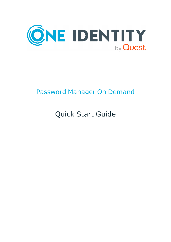

### Password Manager On Demand

# Quick Start Guide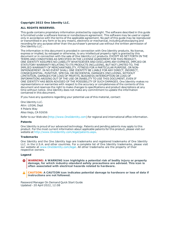#### **Copyright 2022 One Identity LLC.**

#### **ALL RIGHTS RESERVED.**

This guide contains proprietary information protected by copyright. The software described in this guide is furnished under a software license or nondisclosure agreement. This software may be used or copied only in accordance with the terms of the applicable agreement. No part of this guide may be reproduced or transmitted in any form or by any means, electronic or mechanical, including photocopying and recording for any purpose other than the purchaser's personal use without the written permission of One Identity LLC .

The information in this document is provided in connection with One Identity products. No license, express or implied, by estoppel or otherwise, to any intellectual property right is granted by this document or in connection with the sale of One Identity LLC products. EXCEPT AS SET FORTH IN THE TERMS AND CONDITIONS AS SPECIFIED IN THE LICENSE AGREEMENT FOR THIS PRODUCT, ONE IDENTITY ASSUMES NO LIABILITY WHATSOEVER AND DISCLAIMS ANY EXPRESS, IMPLIED OR STATUTORY WARRANTY RELATING TO ITS PRODUCTS INCLUDING, BUT NOT LIMITED TO, THE IMPLIED WARRANTY OF MERCHANTABILITY, FITNESS FOR A PARTICULAR PURPOSE, OR NON-INFRINGEMENT. IN NO EVENT SHALL ONE IDENTITY BE LIABLE FOR ANY DIRECT, INDIRECT, CONSEQUENTIAL, PUNITIVE, SPECIAL OR INCIDENTAL DAMAGES (INCLUDING, WITHOUT LIMITATION, DAMAGES FOR LOSS OF PROFITS, BUSINESS INTERRUPTION OR LOSS OF INFORMATION) ARISING OUT OF THE USE OR INABILITY TO USE THIS DOCUMENT, EVEN IF ONE IDENTITY HAS BEEN ADVISED OF THE POSSIBILITY OF SUCH DAMAGES. One Identity makes no representations or warranties with respect to the accuracy or completeness of the contents of this document and reserves the right to make changes to specifications and product descriptions at any time without notice. One Identity does not make any commitment to update the information contained in this document.

If you have any questions regarding your potential use of this material, contact:

One Identity LLC. Attn: LEGAL Dept 4 Polaris Way Aliso Viejo, CA 92656

Refer to our Web site ([http://www.OneIdentity.com](http://www.oneidentity.com/)) for regional and international office information.

#### **Patents**

One Identity is proud of our advanced technology. Patents and pending patents may apply to this product. For the most current information about applicable patents for this product, please visit our website at [http://www.OneIdentity.com/legal/patents.aspx](http://www.oneidentity.com/legal/patents.aspx).

#### **Trademarks**

One Identity and the One Identity logo are trademarks and registered trademarks of One Identity LLC. in the U.S.A. and other countries. For a complete list of One Identity trademarks, please visit our website at [www.OneIdentity.com/legal](http://www.oneidentity.com/legal). All other trademarks are the property of their respective owners.

#### **Legend**

**WARNING: A WARNING icon highlights a potential risk of bodily injury or property damage, for which industry-standard safety precautions are advised. This icon is often associated with electrical hazards related to hardware.**

**CAUTION: A CAUTION icon indicates potential damage to hardware or loss of data if** A **instructions are not followed.**

Password Manager On Demand Quick Start Guide Updated - 20 April 2022, 12:08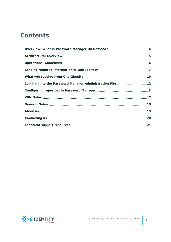### **Contents**

| Logging in to the Password Manager Administration Site 12 |  |
|-----------------------------------------------------------|--|
|                                                           |  |
|                                                           |  |
|                                                           |  |
|                                                           |  |
|                                                           |  |
|                                                           |  |

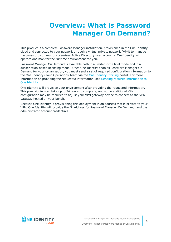### <span id="page-3-0"></span>**Overview: What is Password Manager On Demand?**

This product is a complete Password Manager installation, provisioned in the One Identity cloud and connected to your network through a virtual private network (VPN) to manage the passwords of your on-premises Active Directory user accounts. One Identity will operate and monitor the runtime environment for you.

Password Manager On Demand is available both in a limited-time trial mode and in a subscription-based licensing model. Once One Identity enables Password Manager On Demand for your organization, you must send a set of required configuration information to the One Identity Cloud Operations Team via the One [Identity](https://www.cloud.oneidentity.com/) Starling portal. For more information on providing the requested information, see Sending required [information](#page-6-0) to One [Identity.](#page-6-0)

One Identity will provision your environment after providing the requested information. This provisioning can take up to 24 hours to complete, and some additional VPN configuration may be required to adjust your VPN gateway device to connect to the VPN gateway hosted on your behalf.

Because One Identity is provisioning this deployment in an address that is private to your VPN, One Identity will provide the IP address for Password Manager On Demand, and the administrator account credentials.

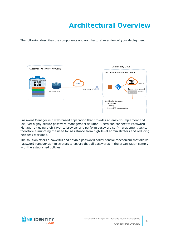## **Architectural Overview**

<span id="page-4-0"></span>The following describes the components and architectural overview of your deployment.



Password Manager is a web-based application that provides an easy-to-implement and use, yet highly secure password management solution. Users can connect to Password Manager by using their favorite browser and perform password self-management tasks, therefore eliminating the need for assistance from high-level administrators and reducing helpdesk workload.

The solution offers a powerful and flexible password policy control mechanism that allows Password Manager administrators to ensure that all passwords in the organization comply with the established policies.

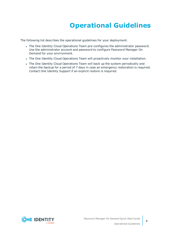## **Operational Guidelines**

<span id="page-5-0"></span>The following list describes the operational guidelines for your deployment.

- The One Identity Cloud Operations Team pre-configures the administrator password. Use the administrator account and password to configure Password Manager On Demand for your environment.
- The One Identity Cloud Operations Team will proactively monitor your installation.
- The One Identity Cloud Operations Team will back up the system periodically and retain the backup for a period of 7 days in case an emergency restoration is required. Contact One Identity Support if an explicit restore is required.

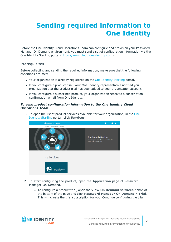## <span id="page-6-0"></span>**Sending required information to One Identity**

Before the One Identity Cloud Operations Team can configure and provision your Password Manager On Demand environment, you must send a set of configuration information via the One Identity Starling portal [\(https://www.cloud.oneidentity.com\)](https://www.cloud.oneidentity.com/).

#### **Prerequisites**

Before collecting and sending the required information, make sure that the following conditions are met:

- Your organization is already registered on the One [Identity](https://www.cloud.oneidentity.com/) Starling portal.
- If you configure a product trial, your One Identity representative notified your organization that the product trial has been added to your organization account.
- If you configure a subscribed product, your organization received a subscription confirmation email from One Identity.

#### *To send product configuration information to the One Identity Cloud Operations Team*

1. To open the list of product services available for your organization, in the [One](https://www.cloud.oneidentity.com/) [Identity](https://www.cloud.oneidentity.com/) Starling portal, click **Services**.



- 2. To start configuring the product, open the **Application** page of Password Manager On Demand.
	- <sup>l</sup> To configure a product trial, open the **View On Demand services** ribbon at the bottom of the page and click **Password Manager On Demand** > **Trial**. This will create the trial subscription for you. Continue configuring the trial

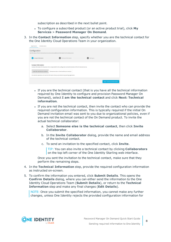subscription as described in the next bullet point.

- To configure a subscribed product (or an active product trial), click My **Services** > **Password Manager On Demand**.
- 3. In the **Contact Information** step, specify whether you are the technical contact for the One Identity Cloud Operations Team in your organization.

| Application                | Collaborators              |                                                                                                                          |            |                                    |
|----------------------------|----------------------------|--------------------------------------------------------------------------------------------------------------------------|------------|------------------------------------|
| Configuration              |                            | See the status of the On Demand service and provide additional information for the deployment.                           |            |                                    |
|                            |                            |                                                                                                                          |            |                                    |
|                            | Contact Information        | <b>Technical Information</b><br>$\mathbf{2}$                                                                             | Setting Up |                                    |
| <b>Contact Information</b> |                            | Contact information for the person who is responsible for the configuration and administration of the On Demand service. |            |                                    |
|                            | I am the technical contact | Someone else is the technical contact                                                                                    |            |                                    |
|                            |                            | One Identity Operations will use the information that you provided during Starling registration.                         |            |                                    |
|                            |                            |                                                                                                                          |            | <b>Next: Technical Information</b> |

- If you are the technical contact (that is you have all the technical information required by One Identity to configure and provision Password Manager On Demand), select **I am the technical contact** and click **Next: Technical information**.
- If you are not the technical contact, then invite the contact who can provide the required configuration information. This is typically required if the initial On Demand invitation email was sent to you due to organizational policies, even if you are not the technical contact of the On Demand product. To invite the actual technical collaborator:
	- a. Select **Someone else is the technical contact**, then click **Invite Collaborator**.
	- b. In the **Invite Collaborator** dialog, provide the name and email address of the technical contact.
	- c. To send an invitation to the specified contact, click **Invite**.

TIP: You can also invite a technical contact by clicking **Collaborators** on the top left corner of the One Identity Starling web interface.

Once you sent the invitation to the technical contact, make sure that they perform the remaining steps.

- 4. In the **Technical Information** step, provide the required configuration information as instructed on-screen.
- 5. To confirm the information you entered, click **Submit Details**. This opens the **Confirm Details** dialog, where you can either send the information to the One Identity Cloud Operations Team (**Submit Details**), or return to the **Technical Information** step and make any final changes (**Edit Details**).

NOTE: Once you submit the specified information, you cannot make any further changes, unless One Identity rejects the provided configuration information for

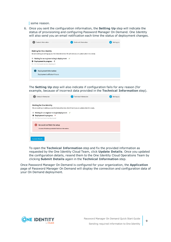some reason.

6. Once you sent the configuration information, the **Setting Up** step will indicate the status of provisioning and configuring Password Manager On Demand. One Identity will also send you an email notification each time the status of deployment changes.

| <b>Contact Information</b>                                                                                                                                                      | <b>Technical Information</b>                                                                        | <b>Setting Up</b> |
|---------------------------------------------------------------------------------------------------------------------------------------------------------------------------------|-----------------------------------------------------------------------------------------------------|-------------------|
| <b>Waiting for One Identity</b><br>Waiting for an engineer to begin deployment $\checkmark$<br>Deployment in progress C<br>$\mathbf o$<br>On Demand service deployed<br>$\circ$ | We are working on setting up your On Demand service. We will send you an update when it is a ready. |                   |
| <b>Deployment Information</b><br>Deployment will take 4 hours                                                                                                                   |                                                                                                     |                   |

The **Setting Up** step will also indicate if configuration fails for any reason (for example, because of incorrect data provided in the **Technical Information** step).

| <b>Contact Information</b>                                                                                                   | <b>Technical Information</b>                                                                      | <b>Setting Up</b> |
|------------------------------------------------------------------------------------------------------------------------------|---------------------------------------------------------------------------------------------------|-------------------|
| <b>Waiting for One Identity</b>                                                                                              | We are working on setting up your On Demand service. We will send you an update when it is ready. |                   |
| Waiting for an engineer to begin deployment $\checkmark$<br>Deployment in progress X<br>O<br>On Demand service deployed<br>O |                                                                                                   |                   |
| We could not finish the setup<br>Incorrect IP address provided in Technical Information.                                     |                                                                                                   |                   |
| <b>Update Details</b>                                                                                                        |                                                                                                   |                   |

To open the **Technical Information** step and fix the provided information as requested by the One Identity Cloud Team, click **Update Details**. Once you updated the configuration details, resend them to the One Identity Cloud Operations Team by clicking **Submit Details** again in the **Technical Information** step.

Once Password Manager On Demand is configured for your organization, the **Application** page of Password Manager On Demand will display the connection and configuration data of your On Demand deployment.

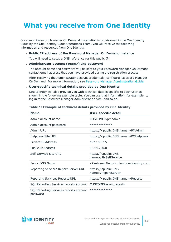### <span id="page-9-0"></span>**What you receive from One Identity**

Once your Password Manager On Demand installation is provisioned in the One Identity Cloud by the One Identity Cloud Operations Team, you will receive the following information and resources from One Identity:

#### <sup>l</sup> **Public IP address of the Password Manager On Demand instance**

You will need to setup a DNS reference for this public IP.

#### <sup>l</sup> **Administrator account (pmadmin) and password**

The account name and password will be sent to your Password Manager On Demand contact email address that you have provided during the registration process.

After receiving the Administrator account credentials, configure Password Manager On Demand. For more information, see Password Manager [Administration](https://support.oneidentity.com/password-manager/technical-documents) Guide.

#### <span id="page-9-1"></span><sup>l</sup> **User-specific technical details provided by One Identity**

One Identity will also provide you with technical details specific to each user as shown in the following example table. You can use that information, for example, to log in to the Password Manager Administration Site, and so on.

| <b>Name</b>                                        | <b>User-specific detail</b>                                |
|----------------------------------------------------|------------------------------------------------------------|
| Admin account name                                 | CUSTOMER\pmadmin                                           |
| Admin account password                             | *************                                              |
| Admin URL                                          | https:// <public dns="" name="">/PMAdmin</public>          |
| <b>Helpdesk Site URL</b>                           | https:// <public dns="" name="">/PMHelpdesk</public>       |
| Private IP Address                                 | 192.168.7.5                                                |
| Public IP Address                                  | 13.64.230.0                                                |
| Self-Service Site URL                              | https:// <public dns<br="">name&gt;/PMSelfService</public> |
| <b>Public DNS Name</b>                             | <customername>.cloud.oneidentity.com</customername>        |
| Reporting Services Report Server URL               | https:// <public dns<br="">name&gt;/ReportServer</public>  |
| <b>Reporting Services Reports URL</b>              | https:// <public dns="" name="">/Reports</public>          |
| SQL Reporting Services reports account             | CUSTOMER\ssrs_reports                                      |
| SQL Reporting Services reports account<br>password | *************                                              |

#### **Table 1: Example of technical details provided by One Identity**

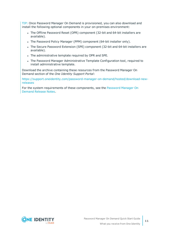TIP: Once Password Manager On Demand is provisioned, you can also download and install the following optional components in your on-premises environment:

- The Offline Password Reset (OPR) component (32-bit and 64-bit installers are available).
- The Password Policy Manager (PPM) component (64-bit installer only).
- The Secure Password Extension (SPE) component (32-bit and 64-bit installers are available).
- The administrative template required by OPR and SPE.
- The Password Manager Administrative Template Configuration tool, required to install administrative template.

Download the archive containing these resources from the Password Manager On Demand section of the *One Identity Support Portal*:

[https://support.oneidentity.com/password-manager-on-demand/hosted/download-new](https://support.oneidentity.com/password-manager-on-demand/hosted/download-new-releases)[releases](https://support.oneidentity.com/password-manager-on-demand/hosted/download-new-releases)

For the system requirements of these components, see the [Password](https://support.oneidentity.com/technical-documents/password-manager-on-demand/hosted/release-notes) Manager On [Demand](https://support.oneidentity.com/technical-documents/password-manager-on-demand/hosted/release-notes) Release Notes.



**11**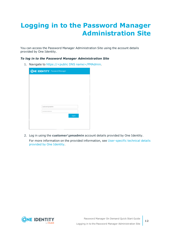### <span id="page-11-0"></span>**Logging in to the Password Manager Administration Site**

You can access the Password Manager Administration Site using the account details provided by One Identity.

#### *To log in to the Password Manager Administration Site*

1. Navigate to https://<public DNS name>/PMAdmin.

| <b>ONE IDENTITY</b> Password Manager |        |
|--------------------------------------|--------|
|                                      |        |
|                                      |        |
|                                      |        |
|                                      |        |
|                                      |        |
| customer\pmadmin<br>                 |        |
|                                      | Log on |
|                                      |        |
|                                      |        |

2. Log in using the **customer\pmadmin** account details provided by One Identity. For more information on the provided information, see [User-specific](#page-9-1) technical details [provided](#page-9-1) by One Identity.

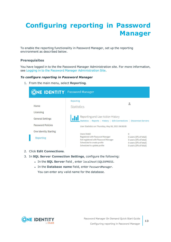## <span id="page-12-0"></span>**Configuring reporting in Password Manager**

To enable the reporting functionality in Password Manager, set up the reporting environment as described below.

#### **Prerequisites**

You have logged in to the the Password Manager Administration site. For more information, see Logging in to the Password Manager [Administration](#page-11-0) Site.

#### *To configure reporting in Password Manager*

1. From the main menu, select **Reporting**.

| ONE IDENTITY Password Manager |                                                                                                                                        |                                                                                                  |
|-------------------------------|----------------------------------------------------------------------------------------------------------------------------------------|--------------------------------------------------------------------------------------------------|
|                               | Reporting                                                                                                                              |                                                                                                  |
| Home                          | <b>Statistics</b>                                                                                                                      |                                                                                                  |
| Licensing                     |                                                                                                                                        |                                                                                                  |
| <b>General Settings</b>       | Reporting and User Action History<br>Statistics   Reports   History   Edit Connections   Disconnect Servers                            |                                                                                                  |
| Password Policies             | User Statistics on Thursday, May 06, 2021 04:00:00                                                                                     |                                                                                                  |
| <b>One Identity Starling</b>  | Users (total)                                                                                                                          | $\Omega$                                                                                         |
| Reporting                     | Registered with Password Manager<br>Not registered with Password Manager<br>Scheduled to create profile<br>Scheduled to update profile | 0 users (0% of total)<br>0 users (0% of total)<br>0 users (0% of total)<br>0 users (0% of total) |

- 2. Click **Edit Connections**.
- 3. In **SQL Server Connection Settings**, configure the following:
	- . In the **SQL Server** field, enter localhost\SQLEXPRESS.
	- <sup>l</sup> In the **Database name** field, enter PasswordManager. You can enter any valid name for the database.

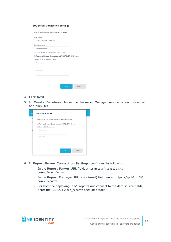#### **SQL Server Connection Settings**

| <b>SQL Server:</b>                                     |                                                     |  |
|--------------------------------------------------------|-----------------------------------------------------|--|
| <b>LOCALHOST\SQLEXPRESS</b>                            |                                                     |  |
| Database name:                                         |                                                     |  |
| PasswordManager                                        |                                                     |  |
|                                                        | Select an account for connecting to the SQL Server: |  |
|                                                        |                                                     |  |
|                                                        |                                                     |  |
| C Password Manager Service account (CUSTOMER\SVC_oipm) |                                                     |  |
| ○ Specific SQL Server account<br>User name:            |                                                     |  |
|                                                        |                                                     |  |
|                                                        |                                                     |  |
| Password:                                              |                                                     |  |
|                                                        |                                                     |  |
|                                                        |                                                     |  |

- 4. Click **Next**.
- 5. In **Create Database**, leave the Password Manager service account selected and click **OK**.

| <b>Create Database</b>                                       |           |        |
|--------------------------------------------------------------|-----------|--------|
| Select the account that will be used to create the database. |           |        |
| C Password Manager Service account (CUSTOMER\SVC_oipm)       |           |        |
| ○ Specific SQL Server account                                |           |        |
| User name:                                                   |           |        |
| Password:                                                    |           |        |
|                                                              |           |        |
|                                                              |           |        |
|                                                              | <b>OK</b> | Cancel |

- 6. In **Report Server Connection Settings**, configure the following:
	- <sup>l</sup> In the **Report Server URL** field, enter https://<public DNS name>/ReportServer.
	- <sup>l</sup> In the **Report Manager URL (optional)** field, enter https://<public DNS name>/Reports.
	- For both the deploying SSRS reports and connect to the data source fields, enter the CUSTOMER\ssrs\_reports account details.

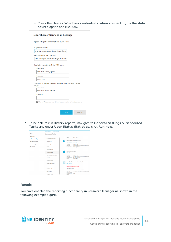<sup>l</sup> Check the **Use as Windows credentials when connecting to the data source** option and click **OK**.

| Report Server URL:                                                                                  |  |
|-----------------------------------------------------------------------------------------------------|--|
| dmanager.cloud.oneidentity.com/ReportServer                                                         |  |
| Report Manager URL (optional):                                                                      |  |
| https://oilivinglab.passwordmanager.cloud.onei                                                      |  |
| User name:                                                                                          |  |
| <b>CUSTOMER\ssrs_reports</b>                                                                        |  |
| Password:                                                                                           |  |
|                                                                                                     |  |
| Specify the account that the Report Server will use to connect to the data<br>source:<br>User name: |  |
| <b>CUSTOMER\ssrs_reports</b>                                                                        |  |
| Password:                                                                                           |  |
|                                                                                                     |  |
|                                                                                                     |  |

7. To be able to run History reports, navigate to **General Settings > Scheduled Tasks** and under **User Status Statistics**, click **Run now**.



#### **Result**

You have enabled the reporting functionality in Password Manager as shown in the following example figure.

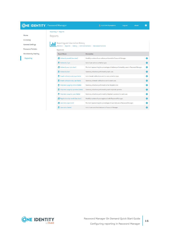### **ONE IDENTITY** Password Manager

 $\bullet$ 

|                              | Reporting > Reports                                                                                                                    |
|------------------------------|----------------------------------------------------------------------------------------------------------------------------------------|
| Home                         | Reports                                                                                                                                |
| Licensing                    |                                                                                                                                        |
| <b>General Settings</b>      | Reporting and User Action History<br>Statistics   Reports   History   Edit Connections   Disconnect Servers                            |
| <b>Password Policies</b>     | Reports list:                                                                                                                          |
| <b>One Identity Starling</b> | <b>Report Name</b><br><b>Description</b>                                                                                               |
| <b>Reporting</b>             | Actions by month (bar chart)<br>Monthly number of user actions performed in Password Manager.<br>o                                     |
|                              | Actions by Type<br>List of user actions sorted by type.<br>۰                                                                           |
|                              | <b>E</b> Actions by user (pie chart)<br>Pie chart representing the percentages of actions performed by users in Password Manager.<br>۰ |
|                              | Actions by User<br>Summary of actions performed by each user.<br>o                                                                     |
|                              | Email notifications by type (table)<br>List of email notifications sent to users sorted by type.<br>o                                  |
|                              | Email notifications by user (table)<br>o<br>Summary of email notifications sent to each user.                                          |
|                              | Help desk usage by actions (table)<br>Summary of actions performed on the Helpdesk site.<br>o                                          |
|                              | Help desk usage by operators (table)<br>Summary of actions performed by each helpdesk operator.<br>O                                   |
|                              | Help desk usage by users (table)<br>Summary of actions performed by helpdesk operators for each user.<br>o                             |
|                              | Registrations by month (bar chart)<br>Monthly number of users registered with Password Manager.<br>o                                   |
|                              | User status (pie chart)<br>Pie chart representing the percentages of user statuses in Password Manager.<br>۰                           |
|                              | to User status (table)<br>List of users and their statuses in Password Manager.<br>٥                                                   |

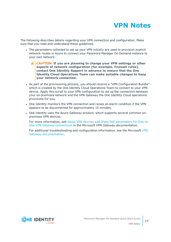

<span id="page-16-0"></span>The following describes details regarding your VPN connection and configuration. Make sure that you read and understand these guidelines.

- The parameters collected to set up your VPN initially are used to provision explicit network routes in Azure to connect your Password Manager On Demand instance to your own network.
	- ΔI **CAUTION: If you are planning to change your VPN settings or other aspects of network configuration (for example, firewall rules), contact One Identity Support in advance to ensure that the One Identity Cloud Operations Team can make suitable changes to keep your network connected.**
- As part of the provisioning process, you should receive a "VPN Configuration Bundle" which is created by the One Identity Cloud Operations Team to connect to your VPN device. Apply this script to your VPN configuration to set up the connection between your on-premises network and the VPN Gateway the One Identity Cloud operations provisions for you.
- One Identity monitors the VPN connection and raises an alarm condition if the VPN appears to be disconnected for approximately 15 minutes.
- One Identity uses the Azure Gateway product, which supports several common onpremises VPN devices.

For more information, see About VPN devices and IPsec/IKE [parameters](https://docs.microsoft.com/en-us/azure/vpn-gateway/vpn-gateway-about-vpn-devices) for Site-to-Site VPN Gateway [connections](https://docs.microsoft.com/en-us/azure/vpn-gateway/vpn-gateway-about-vpn-devices) in the *Microsoft VPN Gateway documentation*.

For additional troubleshooting and configuration information, see the Microsoft [VPN](https://docs.microsoft.com/en-us/azure/vpn-gateway/) Gateway [documentation](https://docs.microsoft.com/en-us/azure/vpn-gateway/).

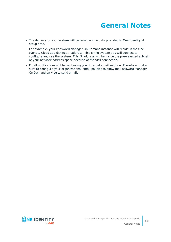### **General Notes**

<span id="page-17-0"></span>• The delivery of your system will be based on the data provided to One Identity at setup time.

For example, your Password Manager On Demand instance will reside in the One Identity Cloud at a distinct IP address. This is the system you will connect to configure and use the system. This IP address will be inside the pre-selected subnet of your network address space because of the VPN connection.

• Email notifications will be sent using your internal email solution. Therefore, make sure to configure your organizational email policies to allow the Password Manager On Demand service to send emails.

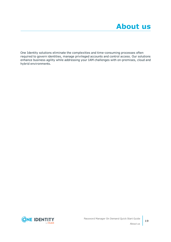<span id="page-18-0"></span>One Identity solutions eliminate the complexities and time-consuming processes often required to govern identities, manage privileged accounts and control access. Our solutions enhance business agility while addressing your IAM challenges with on-premises, cloud and hybrid environments.

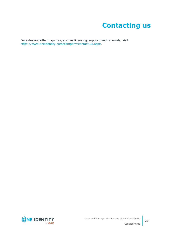### **Contacting us**

<span id="page-19-0"></span>For sales and other inquiries, such as licensing, support, and renewals, visit <https://www.oneidentity.com/company/contact-us.aspx>.

**ONE IDENTITY** by **Quest**